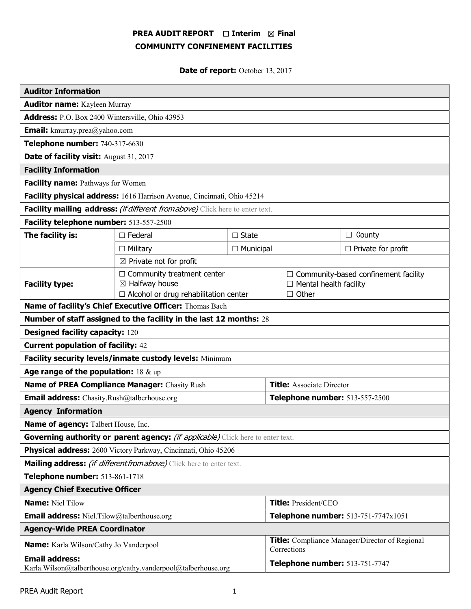# PREA AUDIT REPORT □ Interim 図 Final COMMUNITY CONFINEMENT FACILITIES

Date of report: October 13, 2017

| <b>Auditor Information</b>                                                              |                                                                                                                                |                 |                                                                      |                                             |  |
|-----------------------------------------------------------------------------------------|--------------------------------------------------------------------------------------------------------------------------------|-----------------|----------------------------------------------------------------------|---------------------------------------------|--|
| <b>Auditor name:</b> Kayleen Murray                                                     |                                                                                                                                |                 |                                                                      |                                             |  |
| Address: P.O. Box 2400 Wintersville, Ohio 43953                                         |                                                                                                                                |                 |                                                                      |                                             |  |
| <b>Email:</b> kmurray.prea@yahoo.com                                                    |                                                                                                                                |                 |                                                                      |                                             |  |
| Telephone number: 740-317-6630                                                          |                                                                                                                                |                 |                                                                      |                                             |  |
| Date of facility visit: August 31, 2017                                                 |                                                                                                                                |                 |                                                                      |                                             |  |
| <b>Facility Information</b>                                                             |                                                                                                                                |                 |                                                                      |                                             |  |
| Facility name: Pathways for Women                                                       |                                                                                                                                |                 |                                                                      |                                             |  |
| Facility physical address: 1616 Harrison Avenue, Cincinnati, Ohio 45214                 |                                                                                                                                |                 |                                                                      |                                             |  |
| Facility mailing address: (if different from above) Click here to enter text.           |                                                                                                                                |                 |                                                                      |                                             |  |
| Facility telephone number: 513-557-2500                                                 |                                                                                                                                |                 |                                                                      |                                             |  |
| The facility is:                                                                        | $\Box$ Federal                                                                                                                 | $\square$ State |                                                                      | $\Box$ County                               |  |
|                                                                                         | $\Box$ Municipal<br>$\Box$ Military                                                                                            |                 |                                                                      | $\Box$ Private for profit                   |  |
| $\boxtimes$ Private not for profit                                                      |                                                                                                                                |                 |                                                                      |                                             |  |
| <b>Facility type:</b>                                                                   | $\Box$ Community treatment center<br>$\boxtimes$ Halfway house<br>$\Box$ Alcohol or drug rehabilitation center<br>$\Box$ Other |                 | $\Box$ Mental health facility                                        | $\Box$ Community-based confinement facility |  |
| Name of facility's Chief Executive Officer: Thomas Bach                                 |                                                                                                                                |                 |                                                                      |                                             |  |
| Number of staff assigned to the facility in the last 12 months: 28                      |                                                                                                                                |                 |                                                                      |                                             |  |
| <b>Designed facility capacity: 120</b>                                                  |                                                                                                                                |                 |                                                                      |                                             |  |
| <b>Current population of facility: 42</b>                                               |                                                                                                                                |                 |                                                                      |                                             |  |
| Facility security levels/inmate custody levels: Minimum                                 |                                                                                                                                |                 |                                                                      |                                             |  |
| Age range of the population: $18 \& up$                                                 |                                                                                                                                |                 |                                                                      |                                             |  |
| Name of PREA Compliance Manager: Chasity Rush                                           |                                                                                                                                |                 | <b>Title:</b> Associate Director                                     |                                             |  |
| <b>Email address:</b> Chasity.Rush@talberhouse.org                                      |                                                                                                                                |                 | Telephone number: 513-557-2500                                       |                                             |  |
| <b>Agency Information</b>                                                               |                                                                                                                                |                 |                                                                      |                                             |  |
| Name of agency: Talbert House, Inc.                                                     |                                                                                                                                |                 |                                                                      |                                             |  |
| Governing authority or parent agency: <i>(if applicable)</i> Click here to enter text.  |                                                                                                                                |                 |                                                                      |                                             |  |
| Physical address: 2600 Victory Parkway, Cincinnati, Ohio 45206                          |                                                                                                                                |                 |                                                                      |                                             |  |
| Mailing address: <i>(if different from above)</i> Click here to enter text.             |                                                                                                                                |                 |                                                                      |                                             |  |
| Telephone number: 513-861-1718                                                          |                                                                                                                                |                 |                                                                      |                                             |  |
| <b>Agency Chief Executive Officer</b>                                                   |                                                                                                                                |                 |                                                                      |                                             |  |
| <b>Name: Niel Tilow</b>                                                                 |                                                                                                                                |                 | Title: President/CEO                                                 |                                             |  |
| <b>Email address:</b> Niel.Tilow@talberthouse.org                                       |                                                                                                                                |                 | Telephone number: 513-751-7747x1051                                  |                                             |  |
| <b>Agency-Wide PREA Coordinator</b>                                                     |                                                                                                                                |                 |                                                                      |                                             |  |
| <b>Name:</b> Karla Wilson/Cathy Jo Vanderpool                                           |                                                                                                                                |                 | <b>Title:</b> Compliance Manager/Director of Regional<br>Corrections |                                             |  |
| <b>Email address:</b><br>Karla.Wilson@talberthouse.org/cathy.vanderpool@talberhouse.org |                                                                                                                                |                 | Telephone number: 513-751-7747                                       |                                             |  |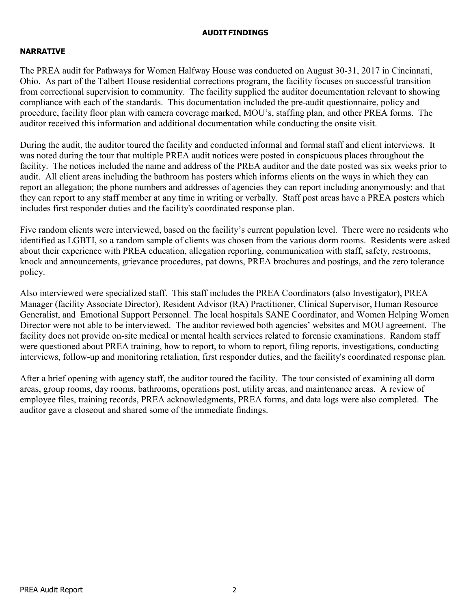## AUDIT FINDINGS

# NARRATIVE

The PREA audit for Pathways for Women Halfway House was conducted on August 30-31, 2017 in Cincinnati, Ohio. As part of the Talbert House residential corrections program, the facility focuses on successful transition from correctional supervision to community. The facility supplied the auditor documentation relevant to showing compliance with each of the standards. This documentation included the pre-audit questionnaire, policy and procedure, facility floor plan with camera coverage marked, MOU's, staffing plan, and other PREA forms. The auditor received this information and additional documentation while conducting the onsite visit.

During the audit, the auditor toured the facility and conducted informal and formal staff and client interviews. It was noted during the tour that multiple PREA audit notices were posted in conspicuous places throughout the facility. The notices included the name and address of the PREA auditor and the date posted was six weeks prior to audit. All client areas including the bathroom has posters which informs clients on the ways in which they can report an allegation; the phone numbers and addresses of agencies they can report including anonymously; and that they can report to any staff member at any time in writing or verbally. Staff post areas have a PREA posters which includes first responder duties and the facility's coordinated response plan.

Five random clients were interviewed, based on the facility's current population level. There were no residents who identified as LGBTI, so a random sample of clients was chosen from the various dorm rooms. Residents were asked about their experience with PREA education, allegation reporting, communication with staff, safety, restrooms, knock and announcements, grievance procedures, pat downs, PREA brochures and postings, and the zero tolerance policy.

Also interviewed were specialized staff. This staff includes the PREA Coordinators (also Investigator), PREA Manager (facility Associate Director), Resident Advisor (RA) Practitioner, Clinical Supervisor, Human Resource Generalist, and Emotional Support Personnel. The local hospitals SANE Coordinator, and Women Helping Women Director were not able to be interviewed. The auditor reviewed both agencies' websites and MOU agreement. The facility does not provide on-site medical or mental health services related to forensic examinations. Random staff were questioned about PREA training, how to report, to whom to report, filing reports, investigations, conducting interviews, follow-up and monitoring retaliation, first responder duties, and the facility's coordinated response plan.

After a brief opening with agency staff, the auditor toured the facility. The tour consisted of examining all dorm areas, group rooms, day rooms, bathrooms, operations post, utility areas, and maintenance areas. A review of employee files, training records, PREA acknowledgments, PREA forms, and data logs were also completed. The auditor gave a closeout and shared some of the immediate findings.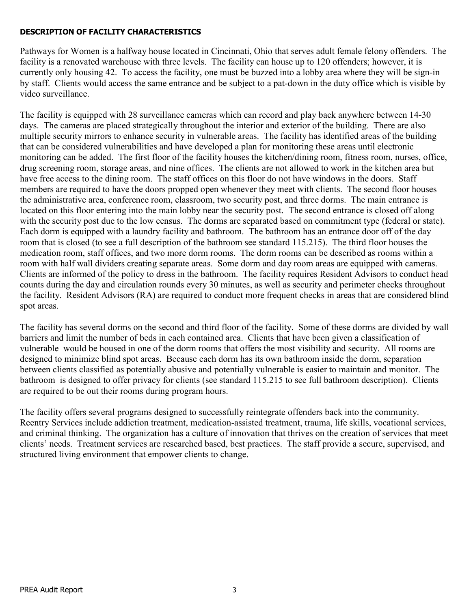# DESCRIPTION OF FACILITY CHARACTERISTICS

Pathways for Women is a halfway house located in Cincinnati, Ohio that serves adult female felony offenders. The facility is a renovated warehouse with three levels. The facility can house up to 120 offenders; however, it is currently only housing 42. To access the facility, one must be buzzed into a lobby area where they will be sign-in by staff. Clients would access the same entrance and be subject to a pat-down in the duty office which is visible by video surveillance.

The facility is equipped with 28 surveillance cameras which can record and play back anywhere between 14-30 days. The cameras are placed strategically throughout the interior and exterior of the building. There are also multiple security mirrors to enhance security in vulnerable areas. The facility has identified areas of the building that can be considered vulnerabilities and have developed a plan for monitoring these areas until electronic monitoring can be added. The first floor of the facility houses the kitchen/dining room, fitness room, nurses, office, drug screening room, storage areas, and nine offices. The clients are not allowed to work in the kitchen area but have free access to the dining room. The staff offices on this floor do not have windows in the doors. Staff members are required to have the doors propped open whenever they meet with clients. The second floor houses the administrative area, conference room, classroom, two security post, and three dorms. The main entrance is located on this floor entering into the main lobby near the security post. The second entrance is closed off along with the security post due to the low census. The dorms are separated based on commitment type (federal or state). Each dorm is equipped with a laundry facility and bathroom. The bathroom has an entrance door off of the day room that is closed (to see a full description of the bathroom see standard 115.215). The third floor houses the medication room, staff offices, and two more dorm rooms. The dorm rooms can be described as rooms within a room with half wall dividers creating separate areas. Some dorm and day room areas are equipped with cameras. Clients are informed of the policy to dress in the bathroom. The facility requires Resident Advisors to conduct head counts during the day and circulation rounds every 30 minutes, as well as security and perimeter checks throughout the facility. Resident Advisors (RA) are required to conduct more frequent checks in areas that are considered blind spot areas.

The facility has several dorms on the second and third floor of the facility. Some of these dorms are divided by wall barriers and limit the number of beds in each contained area. Clients that have been given a classification of vulnerable would be housed in one of the dorm rooms that offers the most visibility and security. All rooms are designed to minimize blind spot areas. Because each dorm has its own bathroom inside the dorm, separation between clients classified as potentially abusive and potentially vulnerable is easier to maintain and monitor. The bathroom is designed to offer privacy for clients (see standard 115.215 to see full bathroom description). Clients are required to be out their rooms during program hours.

The facility offers several programs designed to successfully reintegrate offenders back into the community. Reentry Services include addiction treatment, medication-assisted treatment, trauma, life skills, vocational services, and criminal thinking. The organization has a culture of innovation that thrives on the creation of services that meet clients' needs. Treatment services are researched based, best practices. The staff provide a secure, supervised, and structured living environment that empower clients to change.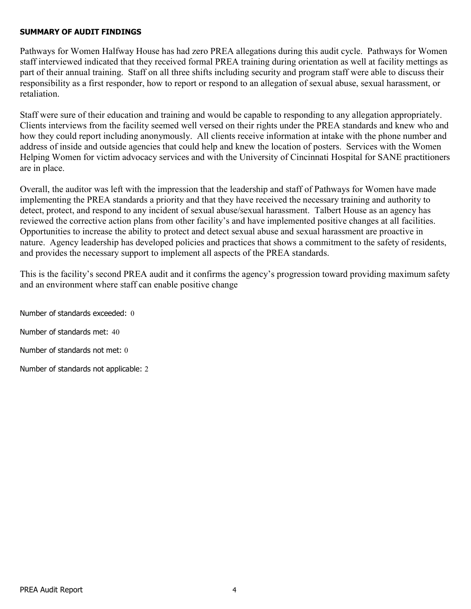### SUMMARY OF AUDIT FINDINGS

Pathways for Women Halfway House has had zero PREA allegations during this audit cycle. Pathways for Women staff interviewed indicated that they received formal PREA training during orientation as well at facility mettings as part of their annual training. Staff on all three shifts including security and program staff were able to discuss their responsibility as a first responder, how to report or respond to an allegation of sexual abuse, sexual harassment, or retaliation.

Staff were sure of their education and training and would be capable to responding to any allegation appropriately. Clients interviews from the facility seemed well versed on their rights under the PREA standards and knew who and how they could report including anonymously. All clients receive information at intake with the phone number and address of inside and outside agencies that could help and knew the location of posters. Services with the Women Helping Women for victim advocacy services and with the University of Cincinnati Hospital for SANE practitioners are in place.

Overall, the auditor was left with the impression that the leadership and staff of Pathways for Women have made implementing the PREA standards a priority and that they have received the necessary training and authority to detect, protect, and respond to any incident of sexual abuse/sexual harassment. Talbert House as an agency has reviewed the corrective action plans from other facility's and have implemented positive changes at all facilities. Opportunities to increase the ability to protect and detect sexual abuse and sexual harassment are proactive in nature. Agency leadership has developed policies and practices that shows a commitment to the safety of residents, and provides the necessary support to implement all aspects of the PREA standards.

This is the facility's second PREA audit and it confirms the agency's progression toward providing maximum safety and an environment where staff can enable positive change

Number of standards exceeded: 0 Number of standards met: 40 Number of standards not met: 0

Number of standards not applicable: 2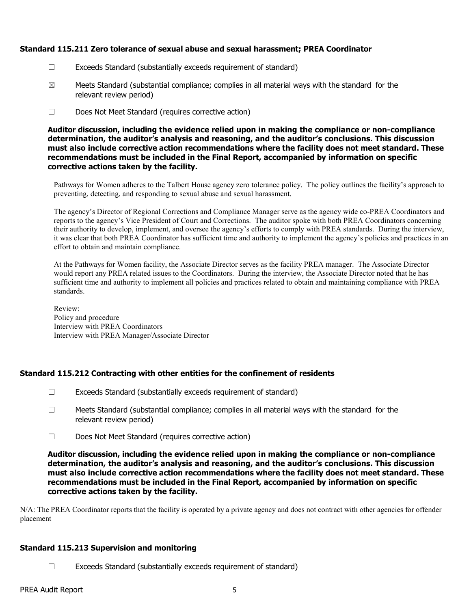### Standard 115.211 Zero tolerance of sexual abuse and sexual harassment; PREA Coordinator

- ☐ Exceeds Standard (substantially exceeds requirement of standard)
- $\boxtimes$  Meets Standard (substantial compliance; complies in all material ways with the standard for the relevant review period)
- ☐ Does Not Meet Standard (requires corrective action)

Auditor discussion, including the evidence relied upon in making the compliance or non-compliance determination, the auditor's analysis and reasoning, and the auditor's conclusions. This discussion must also include corrective action recommendations where the facility does not meet standard. These recommendations must be included in the Final Report, accompanied by information on specific corrective actions taken by the facility.

Pathways for Women adheres to the Talbert House agency zero tolerance policy. The policy outlines the facility's approach to preventing, detecting, and responding to sexual abuse and sexual harassment.

The agency's Director of Regional Corrections and Compliance Manager serve as the agency wide co-PREA Coordinators and reports to the agency's Vice President of Court and Corrections. The auditor spoke with both PREA Coordinators concerning their authority to develop, implement, and oversee the agency's efforts to comply with PREA standards. During the interview, it was clear that both PREA Coordinator has sufficient time and authority to implement the agency's policies and practices in an effort to obtain and maintain compliance.

At the Pathways for Women facility, the Associate Director serves as the facility PREA manager. The Associate Director would report any PREA related issues to the Coordinators. During the interview, the Associate Director noted that he has sufficient time and authority to implement all policies and practices related to obtain and maintaining compliance with PREA standards.

Review: Policy and procedure Interview with PREA Coordinators Interview with PREA Manager/Associate Director

### Standard 115.212 Contracting with other entities for the confinement of residents

- $\Box$  Exceeds Standard (substantially exceeds requirement of standard)
- $\Box$  Meets Standard (substantial compliance; complies in all material ways with the standard for the relevant review period)
- ☐ Does Not Meet Standard (requires corrective action)

Auditor discussion, including the evidence relied upon in making the compliance or non-compliance determination, the auditor's analysis and reasoning, and the auditor's conclusions. This discussion must also include corrective action recommendations where the facility does not meet standard. These recommendations must be included in the Final Report, accompanied by information on specific corrective actions taken by the facility.

N/A: The PREA Coordinator reports that the facility is operated by a private agency and does not contract with other agencies for offender placement

### Standard 115.213 Supervision and monitoring

☐ Exceeds Standard (substantially exceeds requirement of standard)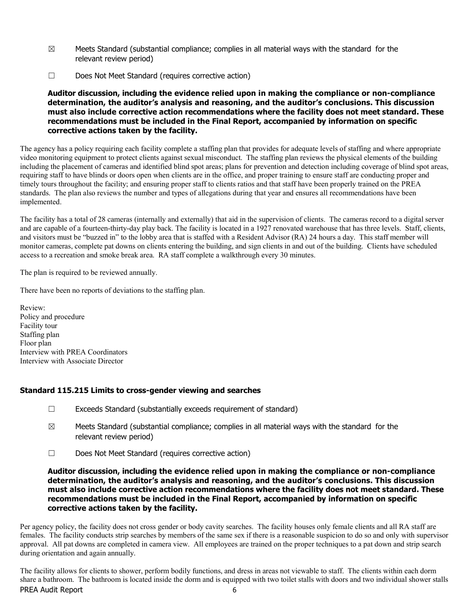- $\boxtimes$  Meets Standard (substantial compliance; complies in all material ways with the standard for the relevant review period)
- ☐ Does Not Meet Standard (requires corrective action)

The agency has a policy requiring each facility complete a staffing plan that provides for adequate levels of staffing and where appropriate video monitoring equipment to protect clients against sexual misconduct. The staffing plan reviews the physical elements of the building including the placement of cameras and identified blind spot areas; plans for prevention and detection including coverage of blind spot areas, requiring staff to have blinds or doors open when clients are in the office, and proper training to ensure staff are conducting proper and timely tours throughout the facility; and ensuring proper staff to clients ratios and that staff have been properly trained on the PREA standards. The plan also reviews the number and types of allegations during that year and ensures all recommendations have been implemented.

The facility has a total of 28 cameras (internally and externally) that aid in the supervision of clients. The cameras record to a digital server and are capable of a fourteen-thirty-day play back. The facility is located in a 1927 renovated warehouse that has three levels. Staff, clients, and visitors must be "buzzed in" to the lobby area that is staffed with a Resident Advisor (RA) 24 hours a day. This staff member will monitor cameras, complete pat downs on clients entering the building, and sign clients in and out of the building. Clients have scheduled access to a recreation and smoke break area. RA staff complete a walkthrough every 30 minutes.

The plan is required to be reviewed annually.

There have been no reports of deviations to the staffing plan.

Review: Policy and procedure Facility tour Staffing plan Floor plan Interview with PREA Coordinators Interview with Associate Director

### Standard 115.215 Limits to cross-gender viewing and searches

- ☐ Exceeds Standard (substantially exceeds requirement of standard)
- $\boxtimes$  Meets Standard (substantial compliance; complies in all material ways with the standard for the relevant review period)
- ☐ Does Not Meet Standard (requires corrective action)

### Auditor discussion, including the evidence relied upon in making the compliance or non-compliance determination, the auditor's analysis and reasoning, and the auditor's conclusions. This discussion must also include corrective action recommendations where the facility does not meet standard. These recommendations must be included in the Final Report, accompanied by information on specific corrective actions taken by the facility.

Per agency policy, the facility does not cross gender or body cavity searches. The facility houses only female clients and all RA staff are females. The facility conducts strip searches by members of the same sex if there is a reasonable suspicion to do so and only with supervisor approval. All pat downs are completed in camera view. All employees are trained on the proper techniques to a pat down and strip search during orientation and again annually.

PREA Audit Report 6 The facility allows for clients to shower, perform bodily functions, and dress in areas not viewable to staff. The clients within each dorm share a bathroom. The bathroom is located inside the dorm and is equipped with two toilet stalls with doors and two individual shower stalls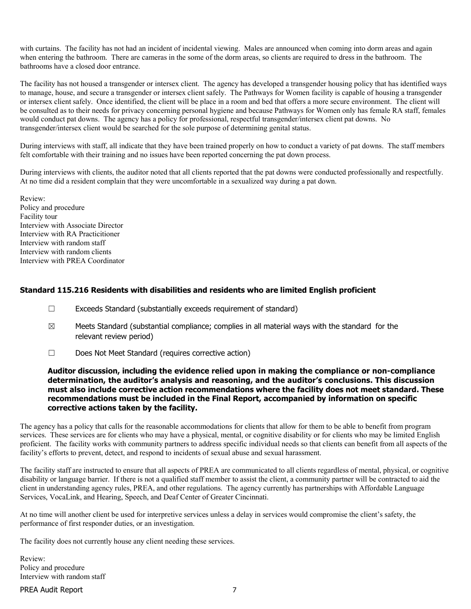with curtains. The facility has not had an incident of incidental viewing. Males are announced when coming into dorm areas and again when entering the bathroom. There are cameras in the some of the dorm areas, so clients are required to dress in the bathroom. The bathrooms have a closed door entrance.

The facility has not housed a transgender or intersex client. The agency has developed a transgender housing policy that has identified ways to manage, house, and secure a transgender or intersex client safely. The Pathways for Women facility is capable of housing a transgender or intersex client safely. Once identified, the client will be place in a room and bed that offers a more secure environment. The client will be consulted as to their needs for privacy concerning personal hygiene and because Pathways for Women only has female RA staff, females would conduct pat downs. The agency has a policy for professional, respectful transgender/intersex client pat downs. No transgender/intersex client would be searched for the sole purpose of determining genital status.

During interviews with staff, all indicate that they have been trained properly on how to conduct a variety of pat downs. The staff members felt comfortable with their training and no issues have been reported concerning the pat down process.

During interviews with clients, the auditor noted that all clients reported that the pat downs were conducted professionally and respectfully. At no time did a resident complain that they were uncomfortable in a sexualized way during a pat down.

Review: Policy and procedure Facility tour Interview with Associate Director Interview with RA Practicitioner Interview with random staff Interview with random clients Interview with PREA Coordinator

### Standard 115.216 Residents with disabilities and residents who are limited English proficient

- ☐ Exceeds Standard (substantially exceeds requirement of standard)
- $\boxtimes$  Meets Standard (substantial compliance; complies in all material ways with the standard for the relevant review period)
- ☐ Does Not Meet Standard (requires corrective action)

#### Auditor discussion, including the evidence relied upon in making the compliance or non-compliance determination, the auditor's analysis and reasoning, and the auditor's conclusions. This discussion must also include corrective action recommendations where the facility does not meet standard. These recommendations must be included in the Final Report, accompanied by information on specific corrective actions taken by the facility.

The agency has a policy that calls for the reasonable accommodations for clients that allow for them to be able to benefit from program services. These services are for clients who may have a physical, mental, or cognitive disability or for clients who may be limited English proficient. The facility works with community partners to address specific individual needs so that clients can benefit from all aspects of the facility's efforts to prevent, detect, and respond to incidents of sexual abuse and sexual harassment.

The facility staff are instructed to ensure that all aspects of PREA are communicated to all clients regardless of mental, physical, or cognitive disability or language barrier. If there is not a qualified staff member to assist the client, a community partner will be contracted to aid the client in understanding agency rules, PREA, and other regulations. The agency currently has partnerships with Affordable Language Services, VocaLink, and Hearing, Speech, and Deaf Center of Greater Cincinnati.

At no time will another client be used for interpretive services unless a delay in services would compromise the client's safety, the performance of first responder duties, or an investigation.

The facility does not currently house any client needing these services.

Review: Policy and procedure Interview with random staff

PREA Audit Report 7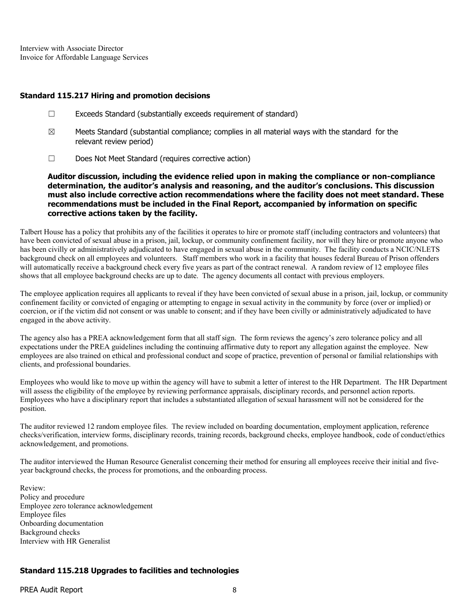Interview with Associate Director Invoice for Affordable Language Services

#### Standard 115.217 Hiring and promotion decisions

- ☐ Exceeds Standard (substantially exceeds requirement of standard)
- $\boxtimes$  Meets Standard (substantial compliance; complies in all material ways with the standard for the relevant review period)
- ☐ Does Not Meet Standard (requires corrective action)

Auditor discussion, including the evidence relied upon in making the compliance or non-compliance determination, the auditor's analysis and reasoning, and the auditor's conclusions. This discussion must also include corrective action recommendations where the facility does not meet standard. These recommendations must be included in the Final Report, accompanied by information on specific corrective actions taken by the facility.

Talbert House has a policy that prohibits any of the facilities it operates to hire or promote staff (including contractors and volunteers) that have been convicted of sexual abuse in a prison, jail, lockup, or community confinement facility, nor will they hire or promote anyone who has been civilly or administratively adjudicated to have engaged in sexual abuse in the community. The facility conducts a NCIC/NLETS background check on all employees and volunteers. Staff members who work in a facility that houses federal Bureau of Prison offenders will automatically receive a background check every five years as part of the contract renewal. A random review of 12 employee files shows that all employee background checks are up to date. The agency documents all contact with previous employers.

The employee application requires all applicants to reveal if they have been convicted of sexual abuse in a prison, jail, lockup, or community confinement facility or convicted of engaging or attempting to engage in sexual activity in the community by force (over or implied) or coercion, or if the victim did not consent or was unable to consent; and if they have been civilly or administratively adjudicated to have engaged in the above activity.

The agency also has a PREA acknowledgement form that all staff sign. The form reviews the agency's zero tolerance policy and all expectations under the PREA guidelines including the continuing affirmative duty to report any allegation against the employee. New employees are also trained on ethical and professional conduct and scope of practice, prevention of personal or familial relationships with clients, and professional boundaries.

Employees who would like to move up within the agency will have to submit a letter of interest to the HR Department. The HR Department will assess the eligibility of the employee by reviewing performance appraisals, disciplinary records, and personnel action reports. Employees who have a disciplinary report that includes a substantiated allegation of sexual harassment will not be considered for the position.

The auditor reviewed 12 random employee files. The review included on boarding documentation, employment application, reference checks/verification, interview forms, disciplinary records, training records, background checks, employee handbook, code of conduct/ethics acknowledgement, and promotions.

The auditor interviewed the Human Resource Generalist concerning their method for ensuring all employees receive their initial and fiveyear background checks, the process for promotions, and the onboarding process.

Review: Policy and procedure Employee zero tolerance acknowledgement Employee files Onboarding documentation Background checks Interview with HR Generalist

### Standard 115.218 Upgrades to facilities and technologies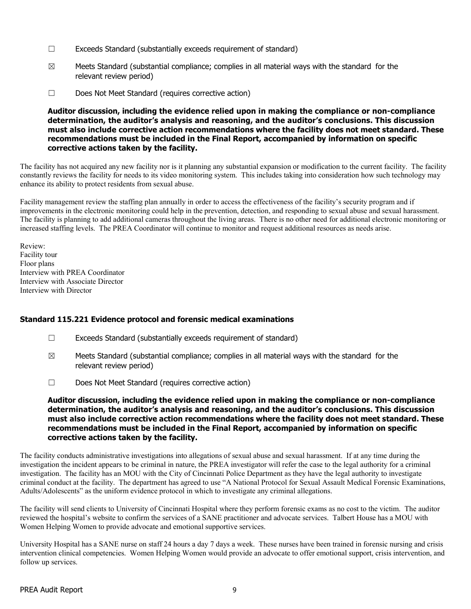- ☐ Exceeds Standard (substantially exceeds requirement of standard)
- $\boxtimes$  Meets Standard (substantial compliance; complies in all material ways with the standard for the relevant review period)
- ☐ Does Not Meet Standard (requires corrective action)

The facility has not acquired any new facility nor is it planning any substantial expansion or modification to the current facility. The facility constantly reviews the facility for needs to its video monitoring system. This includes taking into consideration how such technology may enhance its ability to protect residents from sexual abuse.

Facility management review the staffing plan annually in order to access the effectiveness of the facility's security program and if improvements in the electronic monitoring could help in the prevention, detection, and responding to sexual abuse and sexual harassment. The facility is planning to add additional cameras throughout the living areas. There is no other need for additional electronic monitoring or increased staffing levels. The PREA Coordinator will continue to monitor and request additional resources as needs arise.

Review: Facility tour Floor plans Interview with PREA Coordinator Interview with Associate Director Interview with Director

### Standard 115.221 Evidence protocol and forensic medical examinations

- ☐ Exceeds Standard (substantially exceeds requirement of standard)
- $\boxtimes$  Meets Standard (substantial compliance; complies in all material ways with the standard for the relevant review period)
- ☐ Does Not Meet Standard (requires corrective action)

Auditor discussion, including the evidence relied upon in making the compliance or non-compliance determination, the auditor's analysis and reasoning, and the auditor's conclusions. This discussion must also include corrective action recommendations where the facility does not meet standard. These recommendations must be included in the Final Report, accompanied by information on specific corrective actions taken by the facility.

The facility conducts administrative investigations into allegations of sexual abuse and sexual harassment. If at any time during the investigation the incident appears to be criminal in nature, the PREA investigator will refer the case to the legal authority for a criminal investigation. The facility has an MOU with the City of Cincinnati Police Department as they have the legal authority to investigate criminal conduct at the facility. The department has agreed to use "A National Protocol for Sexual Assault Medical Forensic Examinations, Adults/Adolescents" as the uniform evidence protocol in which to investigate any criminal allegations.

The facility will send clients to University of Cincinnati Hospital where they perform forensic exams as no cost to the victim. The auditor reviewed the hospital's website to confirm the services of a SANE practitioner and advocate services. Talbert House has a MOU with Women Helping Women to provide advocate and emotional supportive services.

University Hospital has a SANE nurse on staff 24 hours a day 7 days a week. These nurses have been trained in forensic nursing and crisis intervention clinical competencies. Women Helping Women would provide an advocate to offer emotional support, crisis intervention, and follow up services.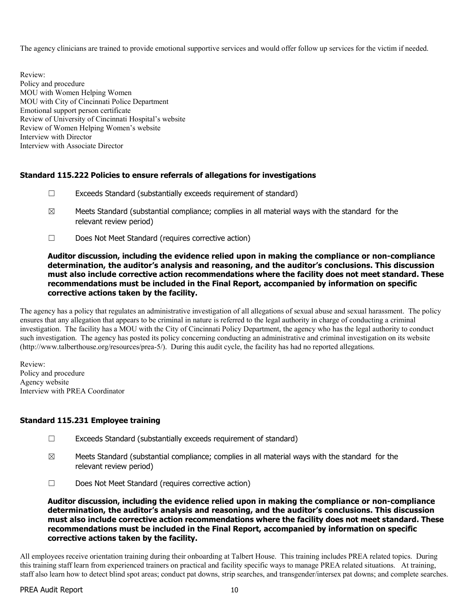The agency clinicians are trained to provide emotional supportive services and would offer follow up services for the victim if needed.

Review: Policy and procedure MOU with Women Helping Women MOU with City of Cincinnati Police Department Emotional support person certificate Review of University of Cincinnati Hospital's website Review of Women Helping Women's website Interview with Director Interview with Associate Director

## Standard 115.222 Policies to ensure referrals of allegations for investigations

- ☐ Exceeds Standard (substantially exceeds requirement of standard)
- $\boxtimes$  Meets Standard (substantial compliance; complies in all material ways with the standard for the relevant review period)
- ☐ Does Not Meet Standard (requires corrective action)

### Auditor discussion, including the evidence relied upon in making the compliance or non-compliance determination, the auditor's analysis and reasoning, and the auditor's conclusions. This discussion must also include corrective action recommendations where the facility does not meet standard. These recommendations must be included in the Final Report, accompanied by information on specific corrective actions taken by the facility.

The agency has a policy that regulates an administrative investigation of all allegations of sexual abuse and sexual harassment. The policy ensures that any allegation that appears to be criminal in nature is referred to the legal authority in charge of conducting a criminal investigation. The facility has a MOU with the City of Cincinnati Policy Department, the agency who has the legal authority to conduct such investigation. The agency has posted its policy concerning conducting an administrative and criminal investigation on its website (http://www.talberthouse.org/resources/prea-5/). During this audit cycle, the facility has had no reported allegations.

Review: Policy and procedure Agency website Interview with PREA Coordinator

### Standard 115.231 Employee training

- ☐ Exceeds Standard (substantially exceeds requirement of standard)
- $\boxtimes$  Meets Standard (substantial compliance; complies in all material ways with the standard for the relevant review period)
- ☐ Does Not Meet Standard (requires corrective action)

### Auditor discussion, including the evidence relied upon in making the compliance or non-compliance determination, the auditor's analysis and reasoning, and the auditor's conclusions. This discussion must also include corrective action recommendations where the facility does not meet standard. These recommendations must be included in the Final Report, accompanied by information on specific corrective actions taken by the facility.

All employees receive orientation training during their onboarding at Talbert House. This training includes PREA related topics. During this training staff learn from experienced trainers on practical and facility specific ways to manage PREA related situations. At training, staff also learn how to detect blind spot areas; conduct pat downs, strip searches, and transgender/intersex pat downs; and complete searches.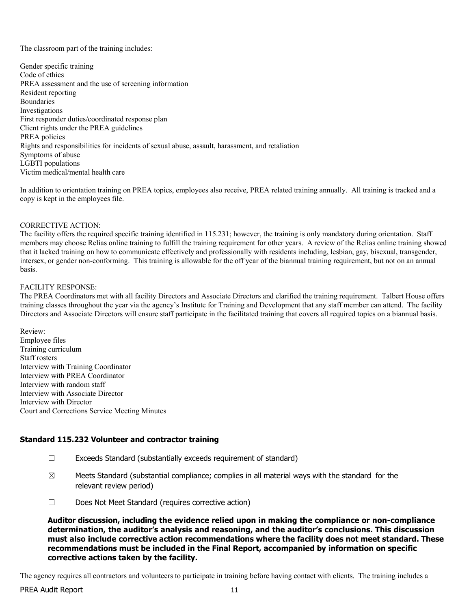The classroom part of the training includes:

Gender specific training Code of ethics PREA assessment and the use of screening information Resident reporting Boundaries Investigations First responder duties/coordinated response plan Client rights under the PREA guidelines PREA policies Rights and responsibilities for incidents of sexual abuse, assault, harassment, and retaliation Symptoms of abuse LGBTI populations Victim medical/mental health care

In addition to orientation training on PREA topics, employees also receive, PREA related training annually. All training is tracked and a copy is kept in the employees file.

#### CORRECTIVE ACTION:

The facility offers the required specific training identified in 115.231; however, the training is only mandatory during orientation. Staff members may choose Relias online training to fulfill the training requirement for other years. A review of the Relias online training showed that it lacked training on how to communicate effectively and professionally with residents including, lesbian, gay, bisexual, transgender, intersex, or gender non-conforming. This training is allowable for the off year of the biannual training requirement, but not on an annual basis.

#### FACILITY RESPONSE:

The PREA Coordinators met with all facility Directors and Associate Directors and clarified the training requirement. Talbert House offers training classes throughout the year via the agency's Institute for Training and Development that any staff member can attend. The facility Directors and Associate Directors will ensure staff participate in the facilitated training that covers all required topics on a biannual basis.

Review: Employee files Training curriculum Staff rosters Interview with Training Coordinator Interview with PREA Coordinator Interview with random staff Interview with Associate Director Interview with Director Court and Corrections Service Meeting Minutes

### Standard 115.232 Volunteer and contractor training

- ☐ Exceeds Standard (substantially exceeds requirement of standard)
- $\boxtimes$  Meets Standard (substantial compliance; complies in all material ways with the standard for the relevant review period)
- ☐ Does Not Meet Standard (requires corrective action)

Auditor discussion, including the evidence relied upon in making the compliance or non-compliance determination, the auditor's analysis and reasoning, and the auditor's conclusions. This discussion must also include corrective action recommendations where the facility does not meet standard. These recommendations must be included in the Final Report, accompanied by information on specific corrective actions taken by the facility.

The agency requires all contractors and volunteers to participate in training before having contact with clients. The training includes a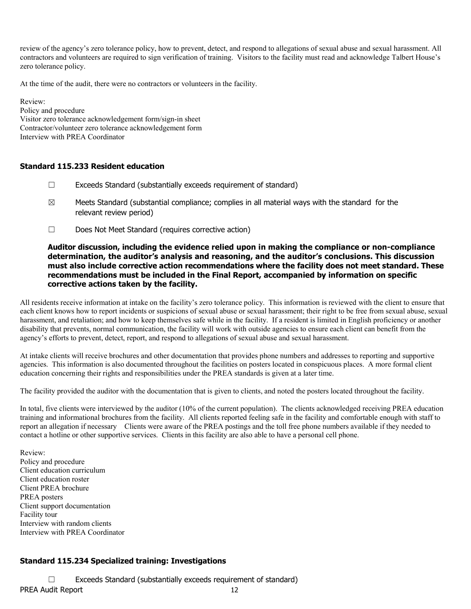review of the agency's zero tolerance policy, how to prevent, detect, and respond to allegations of sexual abuse and sexual harassment. All contractors and volunteers are required to sign verification of training. Visitors to the facility must read and acknowledge Talbert House's zero tolerance policy.

At the time of the audit, there were no contractors or volunteers in the facility.

Review: Policy and procedure Visitor zero tolerance acknowledgement form/sign-in sheet Contractor/volunteer zero tolerance acknowledgement form Interview with PREA Coordinator

#### Standard 115.233 Resident education

- $\Box$  Exceeds Standard (substantially exceeds requirement of standard)
- $\boxtimes$  Meets Standard (substantial compliance; complies in all material ways with the standard for the relevant review period)
- ☐ Does Not Meet Standard (requires corrective action)

### Auditor discussion, including the evidence relied upon in making the compliance or non-compliance determination, the auditor's analysis and reasoning, and the auditor's conclusions. This discussion must also include corrective action recommendations where the facility does not meet standard. These recommendations must be included in the Final Report, accompanied by information on specific corrective actions taken by the facility.

All residents receive information at intake on the facility's zero tolerance policy. This information is reviewed with the client to ensure that each client knows how to report incidents or suspicions of sexual abuse or sexual harassment; their right to be free from sexual abuse, sexual harassment, and retaliation; and how to keep themselves safe while in the facility. If a resident is limited in English proficiency or another disability that prevents, normal communication, the facility will work with outside agencies to ensure each client can benefit from the agency's efforts to prevent, detect, report, and respond to allegations of sexual abuse and sexual harassment.

At intake clients will receive brochures and other documentation that provides phone numbers and addresses to reporting and supportive agencies. This information is also documented throughout the facilities on posters located in conspicuous places. A more formal client education concerning their rights and responsibilities under the PREA standards is given at a later time.

The facility provided the auditor with the documentation that is given to clients, and noted the posters located throughout the facility.

In total, five clients were interviewed by the auditor (10% of the current population). The clients acknowledged receiving PREA education training and informational brochures from the facility. All clients reported feeling safe in the facility and comfortable enough with staff to report an allegation if necessary Clients were aware of the PREA postings and the toll free phone numbers available if they needed to contact a hotline or other supportive services. Clients in this facility are also able to have a personal cell phone.

Review: Policy and procedure Client education curriculum Client education roster Client PREA brochure PREA posters Client support documentation Facility tour Interview with random clients Interview with PREA Coordinator

# Standard 115.234 Specialized training: Investigations

PREA Audit Report 12 ☐ Exceeds Standard (substantially exceeds requirement of standard)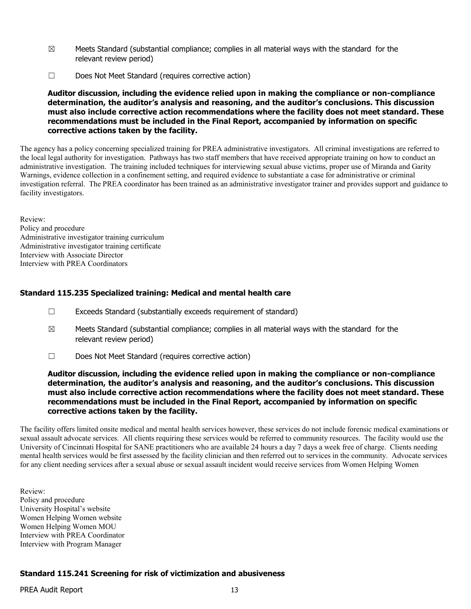- $\boxtimes$  Meets Standard (substantial compliance; complies in all material ways with the standard for the relevant review period)
- ☐ Does Not Meet Standard (requires corrective action)

The agency has a policy concerning specialized training for PREA administrative investigators. All criminal investigations are referred to the local legal authority for investigation. Pathways has two staff members that have received appropriate training on how to conduct an administrative investigation. The training included techniques for interviewing sexual abuse victims, proper use of Miranda and Garity Warnings, evidence collection in a confinement setting, and required evidence to substantiate a case for administrative or criminal investigation referral. The PREA coordinator has been trained as an administrative investigator trainer and provides support and guidance to facility investigators.

Review: Policy and procedure Administrative investigator training curriculum Administrative investigator training certificate Interview with Associate Director Interview with PREA Coordinators

### Standard 115.235 Specialized training: Medical and mental health care

- ☐ Exceeds Standard (substantially exceeds requirement of standard)
- $\boxtimes$  Meets Standard (substantial compliance; complies in all material ways with the standard for the relevant review period)
- ☐ Does Not Meet Standard (requires corrective action)

#### Auditor discussion, including the evidence relied upon in making the compliance or non-compliance determination, the auditor's analysis and reasoning, and the auditor's conclusions. This discussion must also include corrective action recommendations where the facility does not meet standard. These recommendations must be included in the Final Report, accompanied by information on specific corrective actions taken by the facility.

The facility offers limited onsite medical and mental health services however, these services do not include forensic medical examinations or sexual assault advocate services. All clients requiring these services would be referred to community resources. The facility would use the University of Cincinnati Hospital for SANE practitioners who are available 24 hours a day 7 days a week free of charge. Clients needing mental health services would be first assessed by the facility clinician and then referred out to services in the community. Advocate services for any client needing services after a sexual abuse or sexual assault incident would receive services from Women Helping Women

Review: Policy and procedure University Hospital's website Women Helping Women website Women Helping Women MOU Interview with PREA Coordinator Interview with Program Manager

### Standard 115.241 Screening for risk of victimization and abusiveness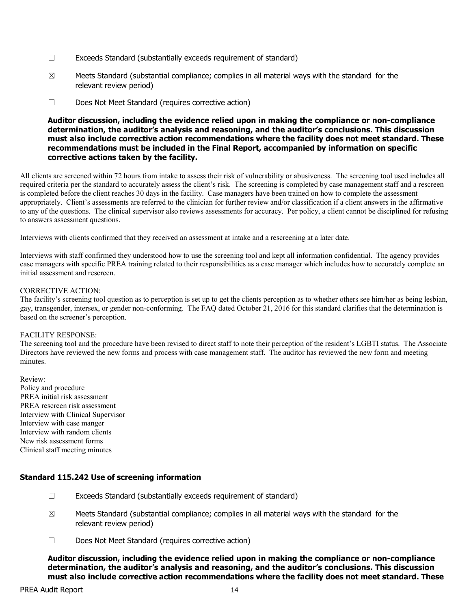- ☐ Exceeds Standard (substantially exceeds requirement of standard)
- $\boxtimes$  Meets Standard (substantial compliance; complies in all material ways with the standard for the relevant review period)
- ☐ Does Not Meet Standard (requires corrective action)

All clients are screened within 72 hours from intake to assess their risk of vulnerability or abusiveness. The screening tool used includes all required criteria per the standard to accurately assess the client's risk. The screening is completed by case management staff and a rescreen is completed before the client reaches 30 days in the facility. Case managers have been trained on how to complete the assessment appropriately. Client's assessments are referred to the clinician for further review and/or classification if a client answers in the affirmative to any of the questions. The clinical supervisor also reviews assessments for accuracy. Per policy, a client cannot be disciplined for refusing to answers assessment questions.

Interviews with clients confirmed that they received an assessment at intake and a rescreening at a later date.

Interviews with staff confirmed they understood how to use the screening tool and kept all information confidential. The agency provides case managers with specific PREA training related to their responsibilities as a case manager which includes how to accurately complete an initial assessment and rescreen.

#### CORRECTIVE ACTION:

The facility's screening tool question as to perception is set up to get the clients perception as to whether others see him/her as being lesbian, gay, transgender, intersex, or gender non-conforming. The FAQ dated October 21, 2016 for this standard clarifies that the determination is based on the screener's perception.

#### FACILITY RESPONSE:

The screening tool and the procedure have been revised to direct staff to note their perception of the resident's LGBTI status. The Associate Directors have reviewed the new forms and process with case management staff. The auditor has reviewed the new form and meeting minutes.

Review: Policy and procedure PREA initial risk assessment PREA rescreen risk assessment Interview with Clinical Supervisor Interview with case manger Interview with random clients New risk assessment forms Clinical staff meeting minutes

### Standard 115.242 Use of screening information

- $\Box$  Exceeds Standard (substantially exceeds requirement of standard)
- $\boxtimes$  Meets Standard (substantial compliance; complies in all material ways with the standard for the relevant review period)
- ☐ Does Not Meet Standard (requires corrective action)

Auditor discussion, including the evidence relied upon in making the compliance or non-compliance determination, the auditor's analysis and reasoning, and the auditor's conclusions. This discussion must also include corrective action recommendations where the facility does not meet standard. These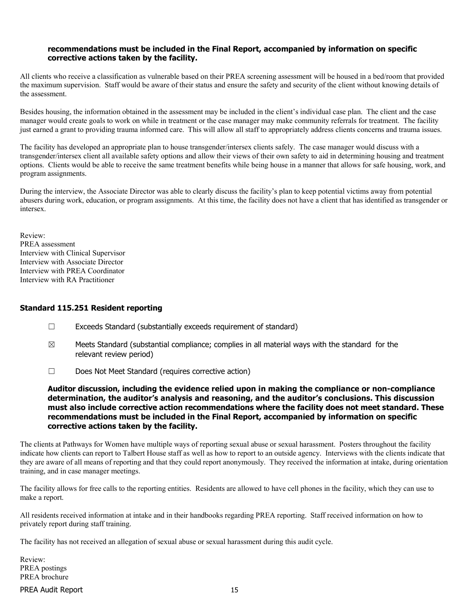#### recommendations must be included in the Final Report, accompanied by information on specific corrective actions taken by the facility.

All clients who receive a classification as vulnerable based on their PREA screening assessment will be housed in a bed/room that provided the maximum supervision. Staff would be aware of their status and ensure the safety and security of the client without knowing details of the assessment.

Besides housing, the information obtained in the assessment may be included in the client's individual case plan. The client and the case manager would create goals to work on while in treatment or the case manager may make community referrals for treatment. The facility just earned a grant to providing trauma informed care. This will allow all staff to appropriately address clients concerns and trauma issues.

The facility has developed an appropriate plan to house transgender/intersex clients safely. The case manager would discuss with a transgender/intersex client all available safety options and allow their views of their own safety to aid in determining housing and treatment options. Clients would be able to receive the same treatment benefits while being house in a manner that allows for safe housing, work, and program assignments.

During the interview, the Associate Director was able to clearly discuss the facility's plan to keep potential victims away from potential abusers during work, education, or program assignments. At this time, the facility does not have a client that has identified as transgender or intersex.

Review: PREA assessment Interview with Clinical Supervisor Interview with Associate Director Interview with PREA Coordinator Interview with RA Practitioner

#### Standard 115.251 Resident reporting

- ☐ Exceeds Standard (substantially exceeds requirement of standard)
- $\boxtimes$  Meets Standard (substantial compliance; complies in all material ways with the standard for the relevant review period)
- ☐ Does Not Meet Standard (requires corrective action)

Auditor discussion, including the evidence relied upon in making the compliance or non-compliance determination, the auditor's analysis and reasoning, and the auditor's conclusions. This discussion must also include corrective action recommendations where the facility does not meet standard. These recommendations must be included in the Final Report, accompanied by information on specific corrective actions taken by the facility.

The clients at Pathways for Women have multiple ways of reporting sexual abuse or sexual harassment. Posters throughout the facility indicate how clients can report to Talbert House staff as well as how to report to an outside agency. Interviews with the clients indicate that they are aware of all means of reporting and that they could report anonymously. They received the information at intake, during orientation training, and in case manager meetings.

The facility allows for free calls to the reporting entities. Residents are allowed to have cell phones in the facility, which they can use to make a report.

All residents received information at intake and in their handbooks regarding PREA reporting. Staff received information on how to privately report during staff training.

The facility has not received an allegation of sexual abuse or sexual harassment during this audit cycle.

Review: PREA postings PREA brochure

PREA Audit Report 15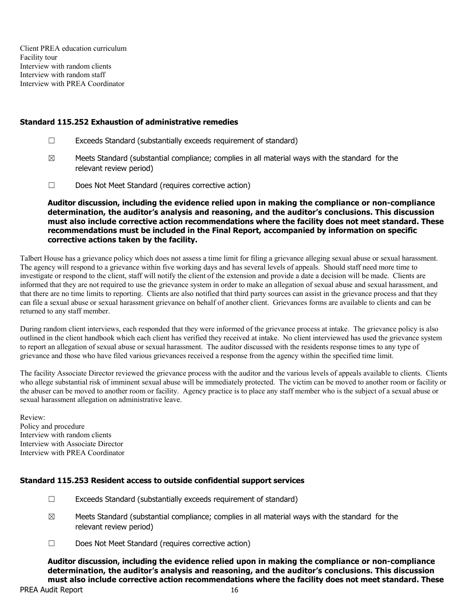Client PREA education curriculum Facility tour Interview with random clients Interview with random staff Interview with PREA Coordinator

#### Standard 115.252 Exhaustion of administrative remedies

- ☐ Exceeds Standard (substantially exceeds requirement of standard)
- $\boxtimes$  Meets Standard (substantial compliance; complies in all material ways with the standard for the relevant review period)
- ☐ Does Not Meet Standard (requires corrective action)

Auditor discussion, including the evidence relied upon in making the compliance or non-compliance determination, the auditor's analysis and reasoning, and the auditor's conclusions. This discussion must also include corrective action recommendations where the facility does not meet standard. These recommendations must be included in the Final Report, accompanied by information on specific corrective actions taken by the facility.

Talbert House has a grievance policy which does not assess a time limit for filing a grievance alleging sexual abuse or sexual harassment. The agency will respond to a grievance within five working days and has several levels of appeals. Should staff need more time to investigate or respond to the client, staff will notify the client of the extension and provide a date a decision will be made. Clients are informed that they are not required to use the grievance system in order to make an allegation of sexual abuse and sexual harassment, and that there are no time limits to reporting. Clients are also notified that third party sources can assist in the grievance process and that they can file a sexual abuse or sexual harassment grievance on behalf of another client. Grievances forms are available to clients and can be returned to any staff member.

During random client interviews, each responded that they were informed of the grievance process at intake. The grievance policy is also outlined in the client handbook which each client has verified they received at intake. No client interviewed has used the grievance system to report an allegation of sexual abuse or sexual harassment. The auditor discussed with the residents response times to any type of grievance and those who have filed various grievances received a response from the agency within the specified time limit.

The facility Associate Director reviewed the grievance process with the auditor and the various levels of appeals available to clients. Clients who allege substantial risk of imminent sexual abuse will be immediately protected. The victim can be moved to another room or facility or the abuser can be moved to another room or facility. Agency practice is to place any staff member who is the subject of a sexual abuse or sexual harassment allegation on administrative leave.

Review: Policy and procedure Interview with random clients Interview with Associate Director Interview with PREA Coordinator

### Standard 115.253 Resident access to outside confidential support services

- ☐ Exceeds Standard (substantially exceeds requirement of standard)
- $\boxtimes$  Meets Standard (substantial compliance; complies in all material ways with the standard for the relevant review period)
- ☐ Does Not Meet Standard (requires corrective action)

Auditor discussion, including the evidence relied upon in making the compliance or non-compliance determination, the auditor's analysis and reasoning, and the auditor's conclusions. This discussion must also include corrective action recommendations where the facility does not meet standard. These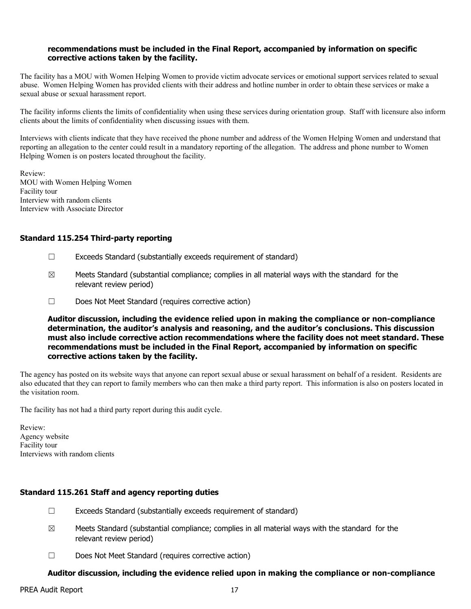#### recommendations must be included in the Final Report, accompanied by information on specific corrective actions taken by the facility.

The facility has a MOU with Women Helping Women to provide victim advocate services or emotional support services related to sexual abuse. Women Helping Women has provided clients with their address and hotline number in order to obtain these services or make a sexual abuse or sexual harassment report.

The facility informs clients the limits of confidentiality when using these services during orientation group. Staff with licensure also inform clients about the limits of confidentiality when discussing issues with them.

Interviews with clients indicate that they have received the phone number and address of the Women Helping Women and understand that reporting an allegation to the center could result in a mandatory reporting of the allegation. The address and phone number to Women Helping Women is on posters located throughout the facility.

Review: MOU with Women Helping Women Facility tour Interview with random clients Interview with Associate Director

#### Standard 115.254 Third-party reporting

- ☐ Exceeds Standard (substantially exceeds requirement of standard)
- $\boxtimes$  Meets Standard (substantial compliance; complies in all material ways with the standard for the relevant review period)
- ☐ Does Not Meet Standard (requires corrective action)

Auditor discussion, including the evidence relied upon in making the compliance or non-compliance determination, the auditor's analysis and reasoning, and the auditor's conclusions. This discussion must also include corrective action recommendations where the facility does not meet standard. These recommendations must be included in the Final Report, accompanied by information on specific corrective actions taken by the facility.

The agency has posted on its website ways that anyone can report sexual abuse or sexual harassment on behalf of a resident. Residents are also educated that they can report to family members who can then make a third party report. This information is also on posters located in the visitation room.

The facility has not had a third party report during this audit cycle.

Review: Agency website Facility tour Interviews with random clients

### Standard 115.261 Staff and agency reporting duties

- ☐ Exceeds Standard (substantially exceeds requirement of standard)
- $\boxtimes$  Meets Standard (substantial compliance; complies in all material ways with the standard for the relevant review period)
- ☐ Does Not Meet Standard (requires corrective action)

### Auditor discussion, including the evidence relied upon in making the compliance or non-compliance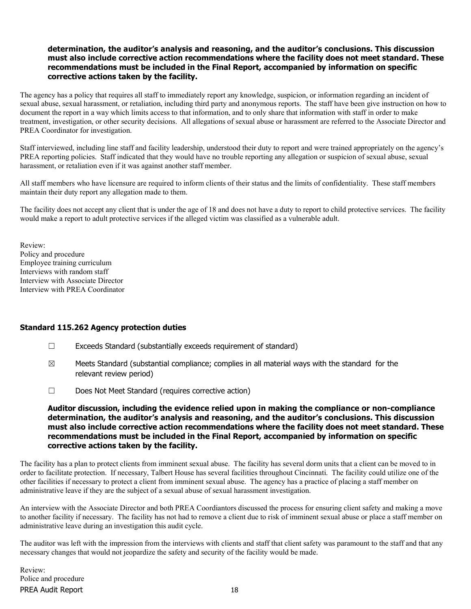### determination, the auditor's analysis and reasoning, and the auditor's conclusions. This discussion must also include corrective action recommendations where the facility does not meet standard. These recommendations must be included in the Final Report, accompanied by information on specific corrective actions taken by the facility.

The agency has a policy that requires all staff to immediately report any knowledge, suspicion, or information regarding an incident of sexual abuse, sexual harassment, or retaliation, including third party and anonymous reports. The staff have been give instruction on how to document the report in a way which limits access to that information, and to only share that information with staff in order to make treatment, investigation, or other security decisions. All allegations of sexual abuse or harassment are referred to the Associate Director and PREA Coordinator for investigation.

Staff interviewed, including line staff and facility leadership, understood their duty to report and were trained appropriately on the agency's PREA reporting policies. Staff indicated that they would have no trouble reporting any allegation or suspicion of sexual abuse, sexual harassment, or retaliation even if it was against another staff member.

All staff members who have licensure are required to inform clients of their status and the limits of confidentiality. These staff members maintain their duty report any allegation made to them.

The facility does not accept any client that is under the age of 18 and does not have a duty to report to child protective services. The facility would make a report to adult protective services if the alleged victim was classified as a vulnerable adult.

Review: Policy and procedure Employee training curriculum Interviews with random staff Interview with Associate Director Interview with PREA Coordinator

#### Standard 115.262 Agency protection duties

- ☐ Exceeds Standard (substantially exceeds requirement of standard)
- $\boxtimes$  Meets Standard (substantial compliance; complies in all material ways with the standard for the relevant review period)
- ☐ Does Not Meet Standard (requires corrective action)

Auditor discussion, including the evidence relied upon in making the compliance or non-compliance determination, the auditor's analysis and reasoning, and the auditor's conclusions. This discussion must also include corrective action recommendations where the facility does not meet standard. These recommendations must be included in the Final Report, accompanied by information on specific corrective actions taken by the facility.

The facility has a plan to protect clients from imminent sexual abuse. The facility has several dorm units that a client can be moved to in order to facilitate protection. If necessary, Talbert House has several facilities throughout Cincinnati. The facility could utilize one of the other facilities if necessary to protect a client from imminent sexual abuse. The agency has a practice of placing a staff member on administrative leave if they are the subject of a sexual abuse of sexual harassment investigation.

An interview with the Associate Director and both PREA Coordiantors discussed the process for ensuring client safety and making a move to another facility if necessary. The facility has not had to remove a client due to risk of imminent sexual abuse or place a staff member on administrative leave during an investigation this audit cycle.

The auditor was left with the impression from the interviews with clients and staff that client safety was paramount to the staff and that any necessary changes that would not jeopardize the safety and security of the facility would be made.

PREA Audit Report 18 Review: Police and procedure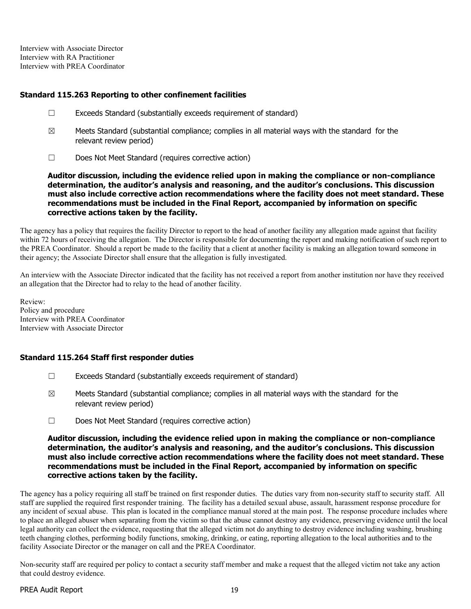Interview with Associate Director Interview with RA Practitioner Interview with PREA Coordinator

### Standard 115.263 Reporting to other confinement facilities

- ☐ Exceeds Standard (substantially exceeds requirement of standard)
- $\boxtimes$  Meets Standard (substantial compliance; complies in all material ways with the standard for the relevant review period)
- ☐ Does Not Meet Standard (requires corrective action)

Auditor discussion, including the evidence relied upon in making the compliance or non-compliance determination, the auditor's analysis and reasoning, and the auditor's conclusions. This discussion must also include corrective action recommendations where the facility does not meet standard. These recommendations must be included in the Final Report, accompanied by information on specific corrective actions taken by the facility.

The agency has a policy that requires the facility Director to report to the head of another facility any allegation made against that facility within 72 hours of receiving the allegation. The Director is responsible for documenting the report and making notification of such report to the PREA Coordinator. Should a report be made to the facility that a client at another facility is making an allegation toward someone in their agency; the Associate Director shall ensure that the allegation is fully investigated.

An interview with the Associate Director indicated that the facility has not received a report from another institution nor have they received an allegation that the Director had to relay to the head of another facility.

Review: Policy and procedure Interview with PREA Coordinator Interview with Associate Director

### Standard 115.264 Staff first responder duties

- ☐ Exceeds Standard (substantially exceeds requirement of standard)
- $\boxtimes$  Meets Standard (substantial compliance; complies in all material ways with the standard for the relevant review period)
- ☐ Does Not Meet Standard (requires corrective action)

#### Auditor discussion, including the evidence relied upon in making the compliance or non-compliance determination, the auditor's analysis and reasoning, and the auditor's conclusions. This discussion must also include corrective action recommendations where the facility does not meet standard. These recommendations must be included in the Final Report, accompanied by information on specific corrective actions taken by the facility.

The agency has a policy requiring all staff be trained on first responder duties. The duties vary from non-security staff to security staff. All staff are supplied the required first responder training. The facility has a detailed sexual abuse, assault, harassment response procedure for any incident of sexual abuse. This plan is located in the compliance manual stored at the main post. The response procedure includes where to place an alleged abuser when separating from the victim so that the abuse cannot destroy any evidence, preserving evidence until the local legal authority can collect the evidence, requesting that the alleged victim not do anything to destroy evidence including washing, brushing teeth changing clothes, performing bodily functions, smoking, drinking, or eating, reporting allegation to the local authorities and to the facility Associate Director or the manager on call and the PREA Coordinator.

Non-security staff are required per policy to contact a security staff member and make a request that the alleged victim not take any action that could destroy evidence.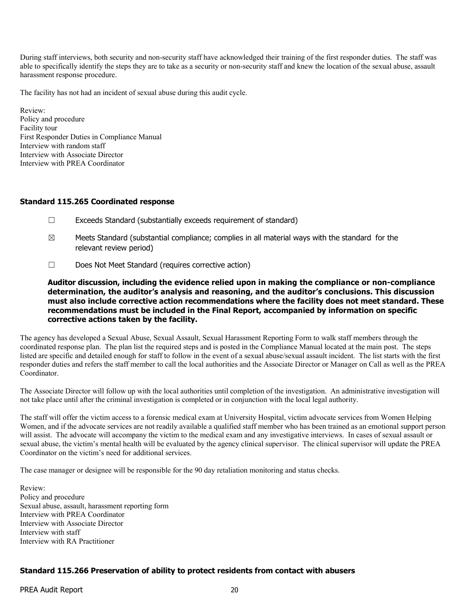During staff interviews, both security and non-security staff have acknowledged their training of the first responder duties. The staff was able to specifically identify the steps they are to take as a security or non-security staff and knew the location of the sexual abuse, assault harassment response procedure.

The facility has not had an incident of sexual abuse during this audit cycle.

Review: Policy and procedure Facility tour First Responder Duties in Compliance Manual Interview with random staff Interview with Associate Director Interview with PREA Coordinator

#### Standard 115.265 Coordinated response

- $\Box$  Exceeds Standard (substantially exceeds requirement of standard)
- $\boxtimes$  Meets Standard (substantial compliance; complies in all material ways with the standard for the relevant review period)
- ☐ Does Not Meet Standard (requires corrective action)

Auditor discussion, including the evidence relied upon in making the compliance or non-compliance determination, the auditor's analysis and reasoning, and the auditor's conclusions. This discussion must also include corrective action recommendations where the facility does not meet standard. These recommendations must be included in the Final Report, accompanied by information on specific corrective actions taken by the facility.

The agency has developed a Sexual Abuse, Sexual Assault, Sexual Harassment Reporting Form to walk staff members through the coordinated response plan. The plan list the required steps and is posted in the Compliance Manual located at the main post. The steps listed are specific and detailed enough for staff to follow in the event of a sexual abuse/sexual assault incident. The list starts with the first responder duties and refers the staff member to call the local authorities and the Associate Director or Manager on Call as well as the PREA Coordinator.

The Associate Director will follow up with the local authorities until completion of the investigation. An administrative investigation will not take place until after the criminal investigation is completed or in conjunction with the local legal authority.

The staff will offer the victim access to a forensic medical exam at University Hospital, victim advocate services from Women Helping Women, and if the advocate services are not readily available a qualified staff member who has been trained as an emotional support person will assist. The advocate will accompany the victim to the medical exam and any investigative interviews. In cases of sexual assault or sexual abuse, the victim's mental health will be evaluated by the agency clinical supervisor. The clinical supervisor will update the PREA Coordinator on the victim's need for additional services.

The case manager or designee will be responsible for the 90 day retaliation monitoring and status checks.

Review: Policy and procedure Sexual abuse, assault, harassment reporting form Interview with PREA Coordinator Interview with Associate Director Interview with staff Interview with RA Practitioner

### Standard 115.266 Preservation of ability to protect residents from contact with abusers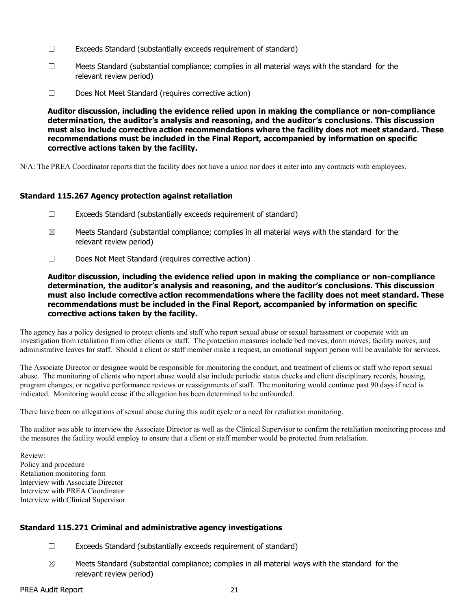- ☐ Exceeds Standard (substantially exceeds requirement of standard)
- $\Box$  Meets Standard (substantial compliance; complies in all material ways with the standard for the relevant review period)
- ☐ Does Not Meet Standard (requires corrective action)

N/A: The PREA Coordinator reports that the facility does not have a union nor does it enter into any contracts with employees.

#### Standard 115.267 Agency protection against retaliation

- ☐ Exceeds Standard (substantially exceeds requirement of standard)
- $\boxtimes$  Meets Standard (substantial compliance; complies in all material ways with the standard for the relevant review period)
- ☐ Does Not Meet Standard (requires corrective action)

Auditor discussion, including the evidence relied upon in making the compliance or non-compliance determination, the auditor's analysis and reasoning, and the auditor's conclusions. This discussion must also include corrective action recommendations where the facility does not meet standard. These recommendations must be included in the Final Report, accompanied by information on specific corrective actions taken by the facility.

The agency has a policy designed to protect clients and staff who report sexual abuse or sexual harassment or cooperate with an investigation from retaliation from other clients or staff. The protection measures include bed moves, dorm moves, facility moves, and administrative leaves for staff. Should a client or staff member make a request, an emotional support person will be available for services.

The Associate Director or designee would be responsible for monitoring the conduct, and treatment of clients or staff who report sexual abuse. The monitoring of clients who report abuse would also include periodic status checks and client disciplinary records, housing, program changes, or negative performance reviews or reassignments of staff. The monitoring would continue past 90 days if need is indicated. Monitoring would cease if the allegation has been determined to be unfounded.

There have been no allegations of sexual abuse during this audit cycle or a need for retaliation monitoring.

The auditor was able to interview the Associate Director as well as the Clinical Supervisor to confirm the retaliation monitoring process and the measures the facility would employ to ensure that a client or staff member would be protected from retaliation.

Review: Policy and procedure Retaliation monitoring form Interview with Associate Director Interview with PREA Coordinator Interview with Clinical Supervisor

### Standard 115.271 Criminal and administrative agency investigations

- $\Box$  Exceeds Standard (substantially exceeds requirement of standard)
- $\boxtimes$  Meets Standard (substantial compliance; complies in all material ways with the standard for the relevant review period)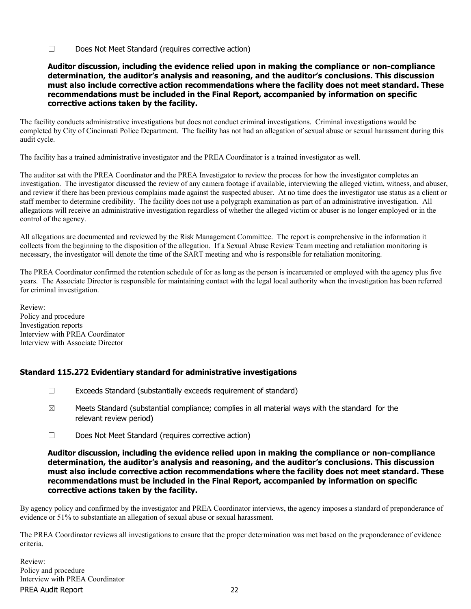☐ Does Not Meet Standard (requires corrective action)

### Auditor discussion, including the evidence relied upon in making the compliance or non-compliance determination, the auditor's analysis and reasoning, and the auditor's conclusions. This discussion must also include corrective action recommendations where the facility does not meet standard. These recommendations must be included in the Final Report, accompanied by information on specific corrective actions taken by the facility.

The facility conducts administrative investigations but does not conduct criminal investigations. Criminal investigations would be completed by City of Cincinnati Police Department. The facility has not had an allegation of sexual abuse or sexual harassment during this audit cycle.

The facility has a trained administrative investigator and the PREA Coordinator is a trained investigator as well.

The auditor sat with the PREA Coordinator and the PREA Investigator to review the process for how the investigator completes an investigation. The investigator discussed the review of any camera footage if available, interviewing the alleged victim, witness, and abuser, and review if there has been previous complains made against the suspected abuser. At no time does the investigator use status as a client or staff member to determine credibility. The facility does not use a polygraph examination as part of an administrative investigation. All allegations will receive an administrative investigation regardless of whether the alleged victim or abuser is no longer employed or in the control of the agency.

All allegations are documented and reviewed by the Risk Management Committee. The report is comprehensive in the information it collects from the beginning to the disposition of the allegation. If a Sexual Abuse Review Team meeting and retaliation monitoring is necessary, the investigator will denote the time of the SART meeting and who is responsible for retaliation monitoring.

The PREA Coordinator confirmed the retention schedule of for as long as the person is incarcerated or employed with the agency plus five years. The Associate Director is responsible for maintaining contact with the legal local authority when the investigation has been referred for criminal investigation.

Review: Policy and procedure Investigation reports Interview with PREA Coordinator Interview with Associate Director

# Standard 115.272 Evidentiary standard for administrative investigations

- $\Box$  Exceeds Standard (substantially exceeds requirement of standard)
- $\boxtimes$  Meets Standard (substantial compliance; complies in all material ways with the standard for the relevant review period)
- ☐ Does Not Meet Standard (requires corrective action)

### Auditor discussion, including the evidence relied upon in making the compliance or non-compliance determination, the auditor's analysis and reasoning, and the auditor's conclusions. This discussion must also include corrective action recommendations where the facility does not meet standard. These recommendations must be included in the Final Report, accompanied by information on specific corrective actions taken by the facility.

By agency policy and confirmed by the investigator and PREA Coordinator interviews, the agency imposes a standard of preponderance of evidence or 51% to substantiate an allegation of sexual abuse or sexual harassment.

The PREA Coordinator reviews all investigations to ensure that the proper determination was met based on the preponderance of evidence criteria.

PREA Audit Report 22 Review: Policy and procedure Interview with PREA Coordinator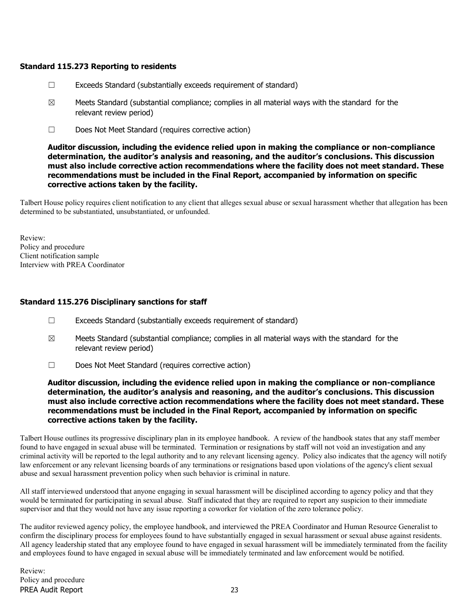### Standard 115.273 Reporting to residents

- ☐ Exceeds Standard (substantially exceeds requirement of standard)
- $\boxtimes$  Meets Standard (substantial compliance; complies in all material ways with the standard for the relevant review period)
- ☐ Does Not Meet Standard (requires corrective action)

Auditor discussion, including the evidence relied upon in making the compliance or non-compliance determination, the auditor's analysis and reasoning, and the auditor's conclusions. This discussion must also include corrective action recommendations where the facility does not meet standard. These recommendations must be included in the Final Report, accompanied by information on specific corrective actions taken by the facility.

Talbert House policy requires client notification to any client that alleges sexual abuse or sexual harassment whether that allegation has been determined to be substantiated, unsubstantiated, or unfounded.

Review: Policy and procedure Client notification sample Interview with PREA Coordinator

### Standard 115.276 Disciplinary sanctions for staff

- ☐ Exceeds Standard (substantially exceeds requirement of standard)
- $\boxtimes$  Meets Standard (substantial compliance; complies in all material ways with the standard for the relevant review period)
- ☐ Does Not Meet Standard (requires corrective action)

Auditor discussion, including the evidence relied upon in making the compliance or non-compliance determination, the auditor's analysis and reasoning, and the auditor's conclusions. This discussion must also include corrective action recommendations where the facility does not meet standard. These recommendations must be included in the Final Report, accompanied by information on specific corrective actions taken by the facility.

Talbert House outlines its progressive disciplinary plan in its employee handbook. A review of the handbook states that any staff member found to have engaged in sexual abuse will be terminated. Termination or resignations by staff will not void an investigation and any criminal activity will be reported to the legal authority and to any relevant licensing agency. Policy also indicates that the agency will notify law enforcement or any relevant licensing boards of any terminations or resignations based upon violations of the agency's client sexual abuse and sexual harassment prevention policy when such behavior is criminal in nature.

All staff interviewed understood that anyone engaging in sexual harassment will be disciplined according to agency policy and that they would be terminated for participating in sexual abuse. Staff indicated that they are required to report any suspicion to their immediate supervisor and that they would not have any issue reporting a coworker for violation of the zero tolerance policy.

The auditor reviewed agency policy, the employee handbook, and interviewed the PREA Coordinator and Human Resource Generalist to confirm the disciplinary process for employees found to have substantially engaged in sexual harassment or sexual abuse against residents. All agency leadership stated that any employee found to have engaged in sexual harassment will be immediately terminated from the facility and employees found to have engaged in sexual abuse will be immediately terminated and law enforcement would be notified.

PREA Audit Report 23 Review: Policy and procedure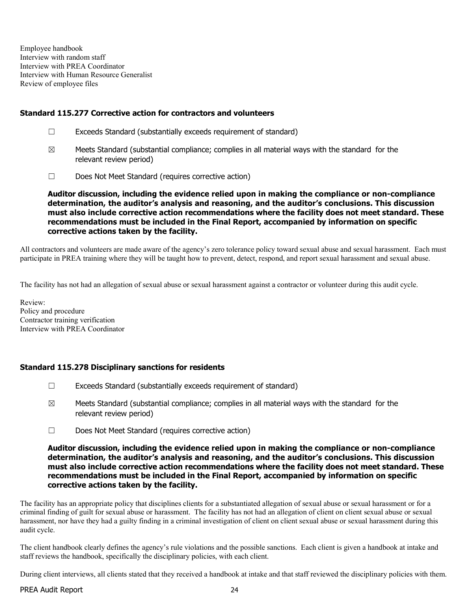Employee handbook Interview with random staff Interview with PREA Coordinator Interview with Human Resource Generalist Review of employee files

### Standard 115.277 Corrective action for contractors and volunteers

- ☐ Exceeds Standard (substantially exceeds requirement of standard)
- $\boxtimes$  Meets Standard (substantial compliance; complies in all material ways with the standard for the relevant review period)
- ☐ Does Not Meet Standard (requires corrective action)

Auditor discussion, including the evidence relied upon in making the compliance or non-compliance determination, the auditor's analysis and reasoning, and the auditor's conclusions. This discussion must also include corrective action recommendations where the facility does not meet standard. These recommendations must be included in the Final Report, accompanied by information on specific corrective actions taken by the facility.

All contractors and volunteers are made aware of the agency's zero tolerance policy toward sexual abuse and sexual harassment. Each must participate in PREA training where they will be taught how to prevent, detect, respond, and report sexual harassment and sexual abuse.

The facility has not had an allegation of sexual abuse or sexual harassment against a contractor or volunteer during this audit cycle.

Review: Policy and procedure Contractor training verification Interview with PREA Coordinator

### Standard 115.278 Disciplinary sanctions for residents

- ☐ Exceeds Standard (substantially exceeds requirement of standard)
- $\boxtimes$  Meets Standard (substantial compliance; complies in all material ways with the standard for the relevant review period)
- ☐ Does Not Meet Standard (requires corrective action)

### Auditor discussion, including the evidence relied upon in making the compliance or non-compliance determination, the auditor's analysis and reasoning, and the auditor's conclusions. This discussion must also include corrective action recommendations where the facility does not meet standard. These recommendations must be included in the Final Report, accompanied by information on specific corrective actions taken by the facility.

The facility has an appropriate policy that disciplines clients for a substantiated allegation of sexual abuse or sexual harassment or for a criminal finding of guilt for sexual abuse or harassment. The facility has not had an allegation of client on client sexual abuse or sexual harassment, nor have they had a guilty finding in a criminal investigation of client on client sexual abuse or sexual harassment during this audit cycle.

The client handbook clearly defines the agency's rule violations and the possible sanctions. Each client is given a handbook at intake and staff reviews the handbook, specifically the disciplinary policies, with each client.

During client interviews, all clients stated that they received a handbook at intake and that staff reviewed the disciplinary policies with them.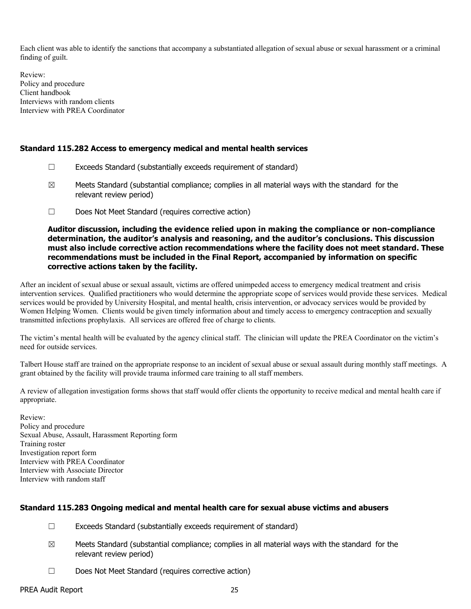Each client was able to identify the sanctions that accompany a substantiated allegation of sexual abuse or sexual harassment or a criminal finding of guilt.

Review: Policy and procedure Client handbook Interviews with random clients Interview with PREA Coordinator

### Standard 115.282 Access to emergency medical and mental health services

- $\Box$  Exceeds Standard (substantially exceeds requirement of standard)
- $\boxtimes$  Meets Standard (substantial compliance; complies in all material ways with the standard for the relevant review period)
- ☐ Does Not Meet Standard (requires corrective action)

Auditor discussion, including the evidence relied upon in making the compliance or non-compliance determination, the auditor's analysis and reasoning, and the auditor's conclusions. This discussion must also include corrective action recommendations where the facility does not meet standard. These recommendations must be included in the Final Report, accompanied by information on specific corrective actions taken by the facility.

After an incident of sexual abuse or sexual assault, victims are offered unimpeded access to emergency medical treatment and crisis intervention services. Qualified practitioners who would determine the appropriate scope of services would provide these services. Medical services would be provided by University Hospital, and mental health, crisis intervention, or advocacy services would be provided by Women Helping Women. Clients would be given timely information about and timely access to emergency contraception and sexually transmitted infections prophylaxis. All services are offered free of charge to clients.

The victim's mental health will be evaluated by the agency clinical staff. The clinician will update the PREA Coordinator on the victim's need for outside services.

Talbert House staff are trained on the appropriate response to an incident of sexual abuse or sexual assault during monthly staff meetings. A grant obtained by the facility will provide trauma informed care training to all staff members.

A review of allegation investigation forms shows that staff would offer clients the opportunity to receive medical and mental health care if appropriate.

Review: Policy and procedure Sexual Abuse, Assault, Harassment Reporting form Training roster Investigation report form Interview with PREA Coordinator Interview with Associate Director Interview with random staff

### Standard 115.283 Ongoing medical and mental health care for sexual abuse victims and abusers

- $\Box$  Exceeds Standard (substantially exceeds requirement of standard)
- $\boxtimes$  Meets Standard (substantial compliance; complies in all material ways with the standard for the relevant review period)
- ☐ Does Not Meet Standard (requires corrective action)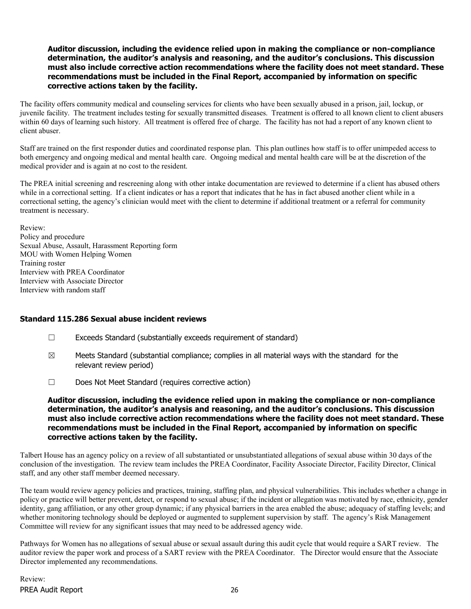The facility offers community medical and counseling services for clients who have been sexually abused in a prison, jail, lockup, or juvenile facility. The treatment includes testing for sexually transmitted diseases. Treatment is offered to all known client to client abusers within 60 days of learning such history. All treatment is offered free of charge. The facility has not had a report of any known client to client abuser.

Staff are trained on the first responder duties and coordinated response plan. This plan outlines how staff is to offer unimpeded access to both emergency and ongoing medical and mental health care. Ongoing medical and mental health care will be at the discretion of the medical provider and is again at no cost to the resident.

The PREA initial screening and rescreening along with other intake documentation are reviewed to determine if a client has abused others while in a correctional setting. If a client indicates or has a report that indicates that he has in fact abused another client while in a correctional setting, the agency's clinician would meet with the client to determine if additional treatment or a referral for community treatment is necessary.

Review: Policy and procedure Sexual Abuse, Assault, Harassment Reporting form MOU with Women Helping Women Training roster Interview with PREA Coordinator Interview with Associate Director Interview with random staff

### Standard 115.286 Sexual abuse incident reviews

- ☐ Exceeds Standard (substantially exceeds requirement of standard)
- $\boxtimes$  Meets Standard (substantial compliance; complies in all material ways with the standard for the relevant review period)
- ☐ Does Not Meet Standard (requires corrective action)

### Auditor discussion, including the evidence relied upon in making the compliance or non-compliance determination, the auditor's analysis and reasoning, and the auditor's conclusions. This discussion must also include corrective action recommendations where the facility does not meet standard. These recommendations must be included in the Final Report, accompanied by information on specific corrective actions taken by the facility.

Talbert House has an agency policy on a review of all substantiated or unsubstantiated allegations of sexual abuse within 30 days of the conclusion of the investigation. The review team includes the PREA Coordinator, Facility Associate Director, Facility Director, Clinical staff, and any other staff member deemed necessary.

The team would review agency policies and practices, training, staffing plan, and physical vulnerabilities. This includes whether a change in policy or practice will better prevent, detect, or respond to sexual abuse; if the incident or allegation was motivated by race, ethnicity, gender identity, gang affiliation, or any other group dynamic; if any physical barriers in the area enabled the abuse; adequacy of staffing levels; and whether monitoring technology should be deployed or augmented to supplement supervision by staff. The agency's Risk Management Committee will review for any significant issues that may need to be addressed agency wide.

Pathways for Women has no allegations of sexual abuse or sexual assault during this audit cycle that would require a SART review. The auditor review the paper work and process of a SART review with the PREA Coordinator. The Director would ensure that the Associate Director implemented any recommendations.

PREA Audit Report 26 Review: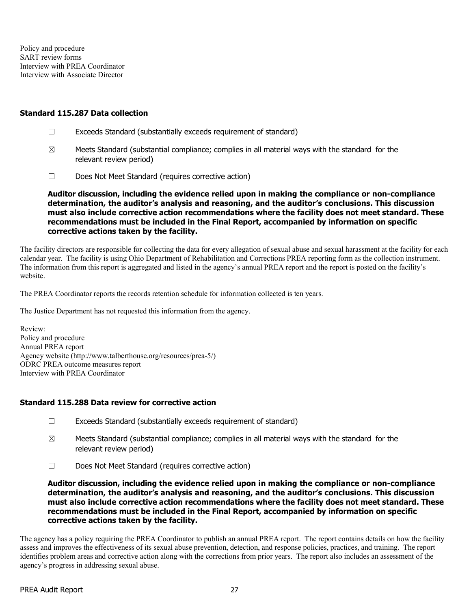Policy and procedure SART review forms Interview with PREA Coordinator Interview with Associate Director

#### Standard 115.287 Data collection

- ☐ Exceeds Standard (substantially exceeds requirement of standard)
- $\boxtimes$  Meets Standard (substantial compliance; complies in all material ways with the standard for the relevant review period)
- ☐ Does Not Meet Standard (requires corrective action)

Auditor discussion, including the evidence relied upon in making the compliance or non-compliance determination, the auditor's analysis and reasoning, and the auditor's conclusions. This discussion must also include corrective action recommendations where the facility does not meet standard. These recommendations must be included in the Final Report, accompanied by information on specific corrective actions taken by the facility.

The facility directors are responsible for collecting the data for every allegation of sexual abuse and sexual harassment at the facility for each calendar year. The facility is using Ohio Department of Rehabilitation and Corrections PREA reporting form as the collection instrument. The information from this report is aggregated and listed in the agency's annual PREA report and the report is posted on the facility's website.

The PREA Coordinator reports the records retention schedule for information collected is ten years.

The Justice Department has not requested this information from the agency.

Review: Policy and procedure Annual PREA report Agency website (http://www.talberthouse.org/resources/prea-5/) ODRC PREA outcome measures report Interview with PREA Coordinator

### Standard 115.288 Data review for corrective action

- ☐ Exceeds Standard (substantially exceeds requirement of standard)
- $\boxtimes$  Meets Standard (substantial compliance; complies in all material ways with the standard for the relevant review period)
- ☐ Does Not Meet Standard (requires corrective action)

Auditor discussion, including the evidence relied upon in making the compliance or non-compliance determination, the auditor's analysis and reasoning, and the auditor's conclusions. This discussion must also include corrective action recommendations where the facility does not meet standard. These recommendations must be included in the Final Report, accompanied by information on specific corrective actions taken by the facility.

The agency has a policy requiring the PREA Coordinator to publish an annual PREA report. The report contains details on how the facility assess and improves the effectiveness of its sexual abuse prevention, detection, and response policies, practices, and training. The report identifies problem areas and corrective action along with the corrections from prior years. The report also includes an assessment of the agency's progress in addressing sexual abuse.